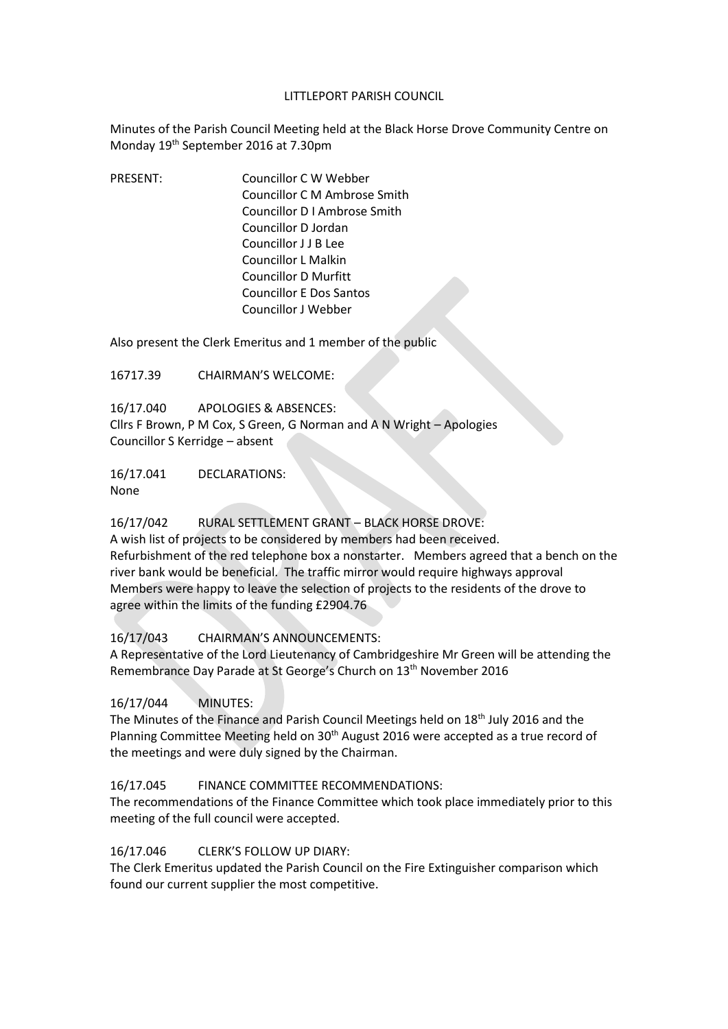#### LITTLEPORT PARISH COUNCIL

Minutes of the Parish Council Meeting held at the Black Horse Drove Community Centre on Monday 19th September 2016 at 7.30pm

PRESENT: Councillor C W Webber Councillor C M Ambrose Smith Councillor D I Ambrose Smith Councillor D Jordan Councillor J J B Lee Councillor L Malkin Councillor D Murfitt Councillor E Dos Santos Councillor J Webber

Also present the Clerk Emeritus and 1 member of the public

16717.39 CHAIRMAN'S WELCOME:

16/17.040 APOLOGIES & ABSENCES: Cllrs F Brown, P M Cox, S Green, G Norman and A N Wright – Apologies Councillor S Kerridge – absent

16/17.041 DECLARATIONS: None

#### 16/17/042 RURAL SETTLEMENT GRANT – BLACK HORSE DROVE:

A wish list of projects to be considered by members had been received. Refurbishment of the red telephone box a nonstarter. Members agreed that a bench on the river bank would be beneficial. The traffic mirror would require highways approval Members were happy to leave the selection of projects to the residents of the drove to agree within the limits of the funding £2904.76

# 16/17/043 CHAIRMAN'S ANNOUNCEMENTS:

A Representative of the Lord Lieutenancy of Cambridgeshire Mr Green will be attending the Remembrance Day Parade at St George's Church on 13th November 2016

# 16/17/044 MINUTES:

The Minutes of the Finance and Parish Council Meetings held on 18th July 2016 and the Planning Committee Meeting held on  $30<sup>th</sup>$  August 2016 were accepted as a true record of the meetings and were duly signed by the Chairman.

# 16/17.045 FINANCE COMMITTEE RECOMMENDATIONS:

The recommendations of the Finance Committee which took place immediately prior to this meeting of the full council were accepted.

# 16/17.046 CLERK'S FOLLOW UP DIARY:

The Clerk Emeritus updated the Parish Council on the Fire Extinguisher comparison which found our current supplier the most competitive.